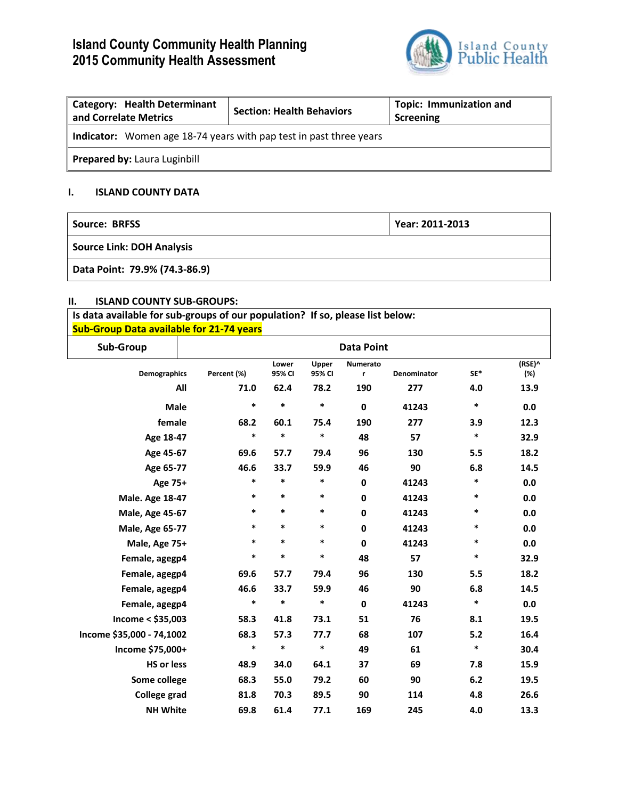# **Island County Community Health Planning 2015 Community Health Assessment**



| <b>Category: Health Determinant</b><br>and Correlate Metrics              | <b>Section: Health Behaviors</b> | <b>Topic: Immunization and</b><br>Screening |  |  |  |  |
|---------------------------------------------------------------------------|----------------------------------|---------------------------------------------|--|--|--|--|
| <b>Indicator:</b> Women age 18-74 years with pap test in past three years |                                  |                                             |  |  |  |  |
| Prepared by: Laura Luginbill                                              |                                  |                                             |  |  |  |  |

## **I. ISLAND COUNTY DATA**

| Source: BRFSS                    | Year: 2011-2013 |
|----------------------------------|-----------------|
| <b>Source Link: DOH Analysis</b> |                 |
| Data Point: 79.9% (74.3-86.9)    |                 |

## **II. ISLAND COUNTY SUB-GROUPS:**

**Is data available for sub-groups of our population? If so, please list below: Sub-Group Data available for 21-74 years**

| Sub-Group                 |             | <b>Data Point</b> |                 |             |             |        |               |
|---------------------------|-------------|-------------------|-----------------|-------------|-------------|--------|---------------|
| <b>Demographics</b>       | Percent (%) | Lower<br>95% CI   | Upper<br>95% CI | Numerato    | Denominator | SE*    | (RSE)^<br>(%) |
|                           | All<br>71.0 | 62.4              | 78.2            | r<br>190    | 277         | 4.0    | 13.9          |
|                           |             |                   |                 |             |             |        |               |
| Male                      | *           | *                 | $\ast$          | $\mathbf 0$ | 41243       | $\ast$ | 0.0           |
| female                    | 68.2        | 60.1              | 75.4            | 190         | 277         | 3.9    | 12.3          |
| Age 18-47                 | *           | *                 | *               | 48          | 57          | *      | 32.9          |
| Age 45-67                 | 69.6        | 57.7              | 79.4            | 96          | 130         | 5.5    | 18.2          |
| Age 65-77                 | 46.6        | 33.7              | 59.9            | 46          | 90          | 6.8    | 14.5          |
| Age 75+                   | *           | *                 | *               | $\mathbf 0$ | 41243       | *      | 0.0           |
| Male. Age 18-47           | *           | *                 | *               | $\pmb{0}$   | 41243       | *      | 0.0           |
| <b>Male, Age 45-67</b>    | $\ast$      | *                 | *               | $\pmb{0}$   | 41243       | *      | 0.0           |
| <b>Male, Age 65-77</b>    | $\ast$      | $\ast$            | $\ast$          | $\pmb{0}$   | 41243       | *      | 0.0           |
| Male, Age 75+             | *           | *                 | *               | $\mathbf 0$ | 41243       | *      | 0.0           |
| Female, agegp4            | $\ast$      | *                 | *               | 48          | 57          | $\ast$ | 32.9          |
| Female, agegp4            | 69.6        | 57.7              | 79.4            | 96          | 130         | 5.5    | 18.2          |
| Female, agegp4            | 46.6        | 33.7              | 59.9            | 46          | 90          | 6.8    | 14.5          |
| Female, agegp4            | $\ast$      | *                 | *               | $\bf{0}$    | 41243       | $\ast$ | 0.0           |
| Income $<$ \$35,003       | 58.3        | 41.8              | 73.1            | 51          | 76          | 8.1    | 19.5          |
| Income \$35,000 - 74,1002 | 68.3        | 57.3              | 77.7            | 68          | 107         | 5.2    | 16.4          |
| Income \$75,000+          | $\ast$      | *                 | *               | 49          | 61          | *      | 30.4          |
| <b>HS or less</b>         | 48.9        | 34.0              | 64.1            | 37          | 69          | 7.8    | 15.9          |
| Some college              | 68.3        | 55.0              | 79.2            | 60          | 90          | 6.2    | 19.5          |
| <b>College grad</b>       | 81.8        | 70.3              | 89.5            | 90          | 114         | 4.8    | 26.6          |
| <b>NH White</b>           | 69.8        | 61.4              | 77.1            | 169         | 245         | 4.0    | 13.3          |
|                           |             |                   |                 |             |             |        |               |